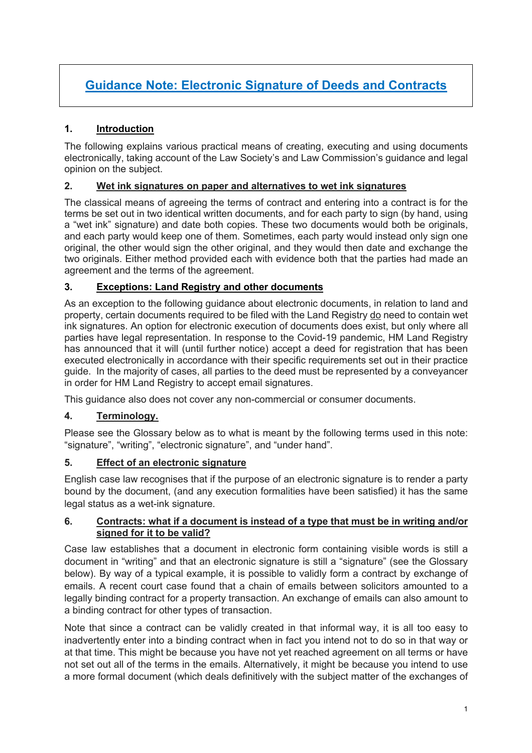# **Guidance Note: Electronic Signature of Deeds and Contracts**

# **1. Introduction**

The following explains various practical means of creating, executing and using documents electronically, taking account of the Law Society's and Law Commission's guidance and legal opinion on the subject.

# **2. Wet ink signatures on paper and alternatives to wet ink signatures**

The classical means of agreeing the terms of contract and entering into a contract is for the terms be set out in two identical written documents, and for each party to sign (by hand, using a "wet ink" signature) and date both copies. These two documents would both be originals, and each party would keep one of them. Sometimes, each party would instead only sign one original, the other would sign the other original, and they would then date and exchange the two originals. Either method provided each with evidence both that the parties had made an agreement and the terms of the agreement.

## **3. Exceptions: Land Registry and other documents**

As an exception to the following guidance about electronic documents, in relation to land and property, certain documents required to be filed with the Land Registry do need to contain wet ink signatures. An option for electronic execution of documents does exist, but only where all parties have legal representation. In response to the Covid-19 pandemic, HM Land Registry has announced that it will (until further notice) accept a deed for registration that has been executed electronically in accordance with their specific requirements set out in their practice guide. In the majority of cases, all parties to the deed must be represented by a conveyancer in order for HM Land Registry to accept email signatures.

This guidance also does not cover any non-commercial or consumer documents.

## **4. Terminology.**

Please see the Glossary below as to what is meant by the following terms used in this note: "signature", "writing", "electronic signature", and "under hand".

## **5. Effect of an electronic signature**

English case law recognises that if the purpose of an electronic signature is to render a party bound by the document, (and any execution formalities have been satisfied) it has the same legal status as a wet-ink signature.

#### **6. Contracts: what if a document is instead of a type that must be in writing and/or signed for it to be valid?**

Case law establishes that a document in electronic form containing visible words is still a document in "writing" and that an electronic signature is still a "signature" (see the Glossary below). By way of a typical example, it is possible to validly form a contract by exchange of emails. A recent court case found that a chain of emails between solicitors amounted to a legally binding contract for a property transaction. An exchange of emails can also amount to a binding contract for other types of transaction.

Note that since a contract can be validly created in that informal way, it is all too easy to inadvertently enter into a binding contract when in fact you intend not to do so in that way or at that time. This might be because you have not yet reached agreement on all terms or have not set out all of the terms in the emails. Alternatively, it might be because you intend to use a more formal document (which deals definitively with the subject matter of the exchanges of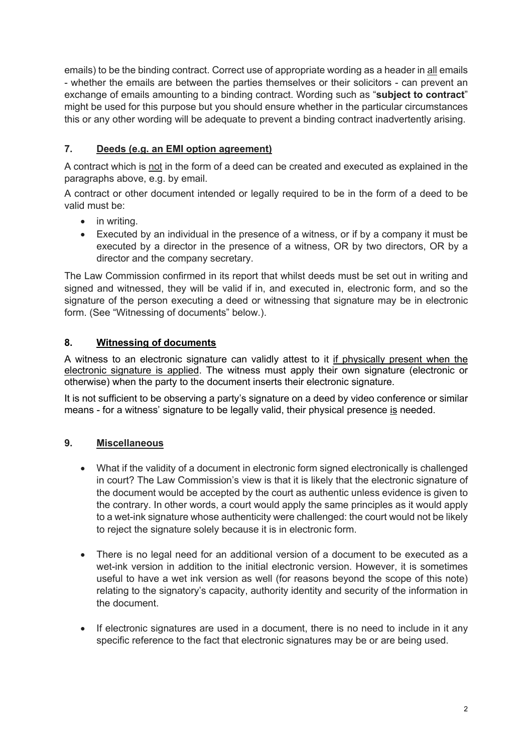emails) to be the binding contract. Correct use of appropriate wording as a header in all emails - whether the emails are between the parties themselves or their solicitors - can prevent an exchange of emails amounting to a binding contract. Wording such as "**subject to contract**" might be used for this purpose but you should ensure whether in the particular circumstances this or any other wording will be adequate to prevent a binding contract inadvertently arising.

# **7. Deeds (e.g. an EMI option agreement)**

A contract which is not in the form of a deed can be created and executed as explained in the paragraphs above, e.g. by email.

A contract or other document intended or legally required to be in the form of a deed to be valid must be:

- in writing.
- Executed by an individual in the presence of a witness, or if by a company it must be executed by a director in the presence of a witness, OR by two directors, OR by a director and the company secretary.

The Law Commission confirmed in its report that whilst deeds must be set out in writing and signed and witnessed, they will be valid if in, and executed in, electronic form, and so the signature of the person executing a deed or witnessing that signature may be in electronic form. (See "Witnessing of documents" below.).

# **8. Witnessing of documents**

A witness to an electronic signature can validly attest to it if physically present when the electronic signature is applied. The witness must apply their own signature (electronic or otherwise) when the party to the document inserts their electronic signature.

It is not sufficient to be observing a party's signature on a deed by video conference or similar means - for a witness' signature to be legally valid, their physical presence is needed.

## **9. Miscellaneous**

- What if the validity of a document in electronic form signed electronically is challenged in court? The Law Commission's view is that it is likely that the electronic signature of the document would be accepted by the court as authentic unless evidence is given to the contrary. In other words, a court would apply the same principles as it would apply to a wet-ink signature whose authenticity were challenged: the court would not be likely to reject the signature solely because it is in electronic form.
- There is no legal need for an additional version of a document to be executed as a wet-ink version in addition to the initial electronic version. However, it is sometimes useful to have a wet ink version as well (for reasons beyond the scope of this note) relating to the signatory's capacity, authority identity and security of the information in the document.
- If electronic signatures are used in a document, there is no need to include in it any specific reference to the fact that electronic signatures may be or are being used.